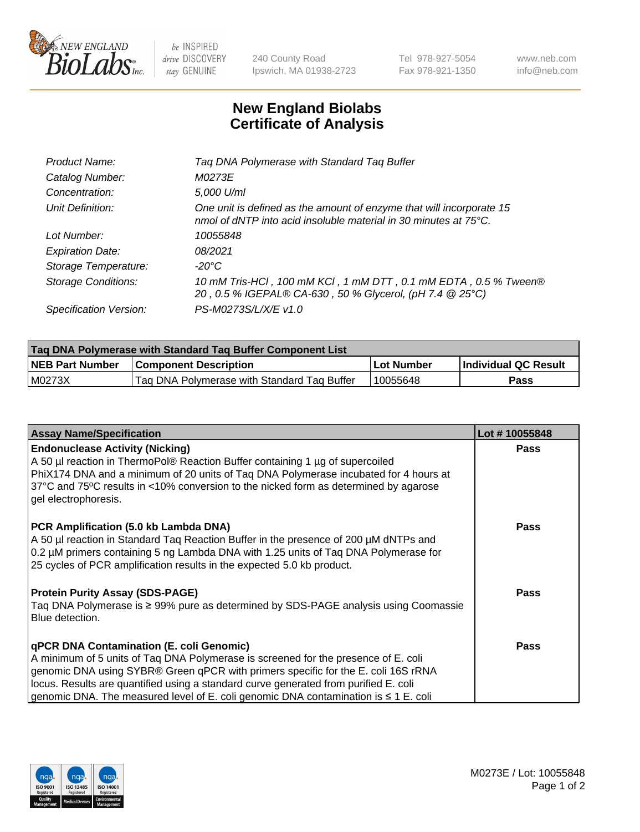

 $be$  INSPIRED drive DISCOVERY stay GENUINE

240 County Road Ipswich, MA 01938-2723 Tel 978-927-5054 Fax 978-921-1350 www.neb.com info@neb.com

## **New England Biolabs Certificate of Analysis**

| Product Name:              | Tag DNA Polymerase with Standard Tag Buffer                                                                                                        |
|----------------------------|----------------------------------------------------------------------------------------------------------------------------------------------------|
| Catalog Number:            | M0273E                                                                                                                                             |
| Concentration:             | 5,000 U/ml                                                                                                                                         |
| Unit Definition:           | One unit is defined as the amount of enzyme that will incorporate 15<br>nmol of dNTP into acid insoluble material in 30 minutes at $75^{\circ}$ C. |
| Lot Number:                | 10055848                                                                                                                                           |
| <b>Expiration Date:</b>    | 08/2021                                                                                                                                            |
| Storage Temperature:       | -20°C                                                                                                                                              |
| <b>Storage Conditions:</b> | 10 mM Tris-HCl, 100 mM KCl, 1 mM DTT, 0.1 mM EDTA, 0.5 % Tween®<br>20, 0.5 % IGEPAL® CA-630, 50 % Glycerol, (pH 7.4 @ 25°C)                        |
| Specification Version:     | PS-M0273S/L/X/E v1.0                                                                                                                               |

| <b>Tag DNA Polymerase with Standard Tag Buffer Component List</b> |                                             |            |                      |  |
|-------------------------------------------------------------------|---------------------------------------------|------------|----------------------|--|
| <b>NEB Part Number</b>                                            | <b>Component Description</b>                | Lot Number | Individual QC Result |  |
| M0273X                                                            | Tag DNA Polymerase with Standard Tag Buffer | 10055648   | Pass                 |  |

| <b>Assay Name/Specification</b>                                                                                                                                                                                                                                                                                                                                                                         | Lot #10055848 |
|---------------------------------------------------------------------------------------------------------------------------------------------------------------------------------------------------------------------------------------------------------------------------------------------------------------------------------------------------------------------------------------------------------|---------------|
| <b>Endonuclease Activity (Nicking)</b><br>A 50 µl reaction in ThermoPol® Reaction Buffer containing 1 µg of supercoiled<br>PhiX174 DNA and a minimum of 20 units of Tag DNA Polymerase incubated for 4 hours at<br>37°C and 75°C results in <10% conversion to the nicked form as determined by agarose<br>gel electrophoresis.                                                                         | <b>Pass</b>   |
| PCR Amplification (5.0 kb Lambda DNA)<br>A 50 µl reaction in Standard Taq Reaction Buffer in the presence of 200 µM dNTPs and<br>0.2 µM primers containing 5 ng Lambda DNA with 1.25 units of Tag DNA Polymerase for<br>25 cycles of PCR amplification results in the expected 5.0 kb product.                                                                                                          | <b>Pass</b>   |
| <b>Protein Purity Assay (SDS-PAGE)</b><br>Taq DNA Polymerase is ≥ 99% pure as determined by SDS-PAGE analysis using Coomassie<br>Blue detection.                                                                                                                                                                                                                                                        | <b>Pass</b>   |
| qPCR DNA Contamination (E. coli Genomic)<br>A minimum of 5 units of Taq DNA Polymerase is screened for the presence of E. coli<br>genomic DNA using SYBR® Green qPCR with primers specific for the E. coli 16S rRNA<br>locus. Results are quantified using a standard curve generated from purified E. coli<br>genomic DNA. The measured level of E. coli genomic DNA contamination is $\leq 1$ E. coli | <b>Pass</b>   |